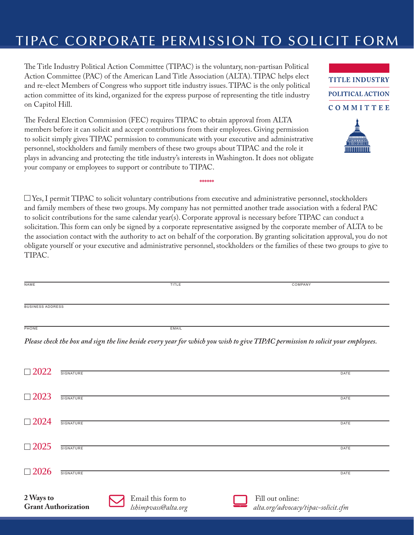## TIPAC CORPORATE PERMISSION TO SOLICIT FORM

**TITLE INDUSTRY** 

**POLITICAL ACTION** 

COMMITTEE

The Title Industry Political Action Committee (TIPAC) is the voluntary, non-partisan Political Action Committee (PAC) of the American Land Title Association (ALTA). TIPAC helps elect and re-elect Members of Congress who support title industry issues. TIPAC is the only political action committee of its kind, organized for the express purpose of representing the title industry on Capitol Hill.

The Federal Election Commission (FEC) requires TIPAC to obtain approval from ALTA members before it can solicit and accept contributions from their employees. Giving permission to solicit simply gives TIPAC permission to communicate with your executive and administrative personnel, stockholders and family members of these two groups about TIPAC and the role it plays in advancing and protecting the title industry's interests in Washington. It does not obligate your company or employees to support or contribute to TIPAC.

 $\Box$  Yes, I permit TIPAC to solicit voluntary contributions from executive and administrative personnel, stockholders and family members of these two groups. My company has not permitted another trade association with a federal PAC to solicit contributions for the same calendar year(s). Corporate approval is necessary before TIPAC can conduct a solicitation. This form can only be signed by a corporate representative assigned by the corporate member of ALTA to be the association contact with the authority to act on behalf of the corporation. By granting solicitation approval, you do not obligate yourself or your executive and administrative personnel, stockholders or the families of these two groups to give to TIPAC.

**\*\*\*\*\*\***

| NAME                                                                                                                            | TITLE | COMPANY |  |  |  |
|---------------------------------------------------------------------------------------------------------------------------------|-------|---------|--|--|--|
|                                                                                                                                 |       |         |  |  |  |
|                                                                                                                                 |       |         |  |  |  |
| <b>BUSINESS ADDRESS</b>                                                                                                         |       |         |  |  |  |
|                                                                                                                                 |       |         |  |  |  |
|                                                                                                                                 |       |         |  |  |  |
| PHONE                                                                                                                           | EMAIL |         |  |  |  |
|                                                                                                                                 |       |         |  |  |  |
| Please check the box and sign the line beside every year for which you wish to give TIPAC permission to solicit your employees. |       |         |  |  |  |

| $\Box$ 2022                | <b>SIGNATURE</b> |                     | DATE                                |  |
|----------------------------|------------------|---------------------|-------------------------------------|--|
|                            |                  |                     |                                     |  |
| $\Box$ 2023                | SIGNATURE        |                     |                                     |  |
|                            |                  |                     | DATE                                |  |
| $\Box$ 2024                | <b>SIGNATURE</b> |                     |                                     |  |
|                            |                  |                     | <b>DATE</b>                         |  |
| $\Box$ 2025                |                  |                     |                                     |  |
|                            | SIGNATURE        |                     | DATE                                |  |
|                            |                  |                     |                                     |  |
| $\Box$ 2026                | SIGNATURE        |                     | DATE                                |  |
|                            |                  |                     |                                     |  |
| 2 Ways to                  |                  | Email this form to  | Fill out online:                    |  |
| <b>Grant Authorization</b> |                  | Ishimpvass@alta.org | alta.org/advocacy/tipac-solicit.cfm |  |